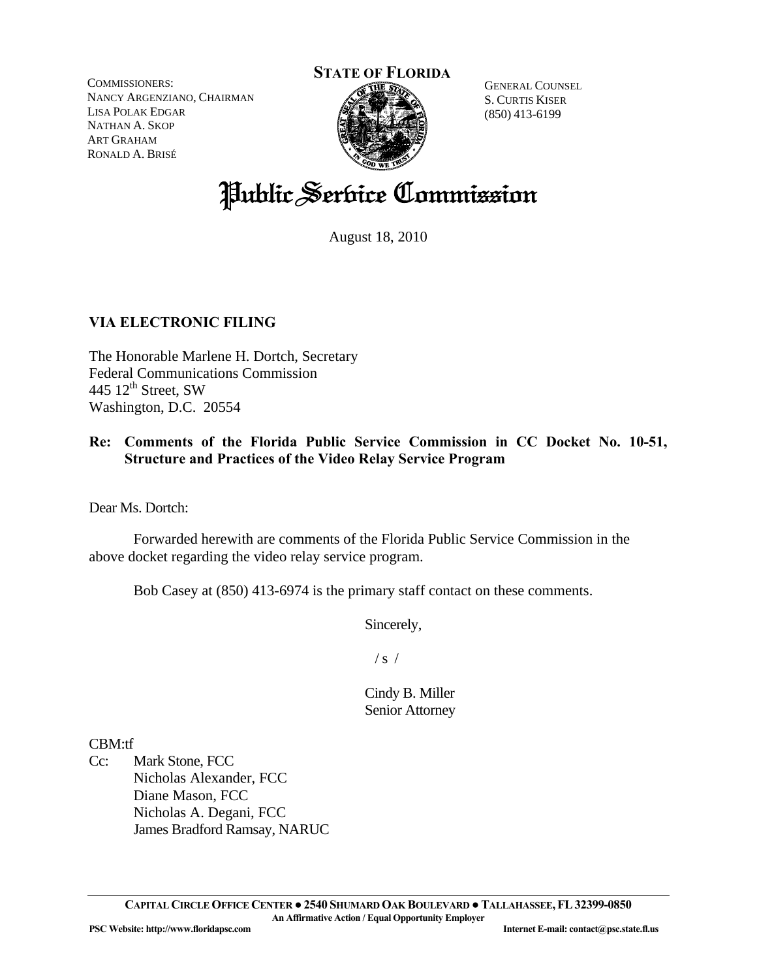COMMISSIONERS: NANCY ARGENZIANO, CHAIRMAN LISA POLAK EDGAR NATHAN A. SKOP ART GRAHAM RONALD A. BRISÉ

#### **STATE OF FLORIDA**



GENERAL COUNSEL S. CURTIS KISER (850) 413-6199

# Public Service Commission

August 18, 2010

# **VIA ELECTRONIC FILING**

The Honorable Marlene H. Dortch, Secretary Federal Communications Commission 445  $12^{th}$  Street, SW Washington, D.C. 20554

# **Re: Comments of the Florida Public Service Commission in CC Docket No. 10-51, Structure and Practices of the Video Relay Service Program**

Dear Ms. Dortch:

 Forwarded herewith are comments of the Florida Public Service Commission in the above docket regarding the video relay service program.

Bob Casey at (850) 413-6974 is the primary staff contact on these comments.

Sincerely,

 $/ s /$ 

Cindy B. Miller Senior Attorney

CBM:tf

Cc: Mark Stone, FCC Nicholas Alexander, FCC Diane Mason, FCC Nicholas A. Degani, FCC James Bradford Ramsay, NARUC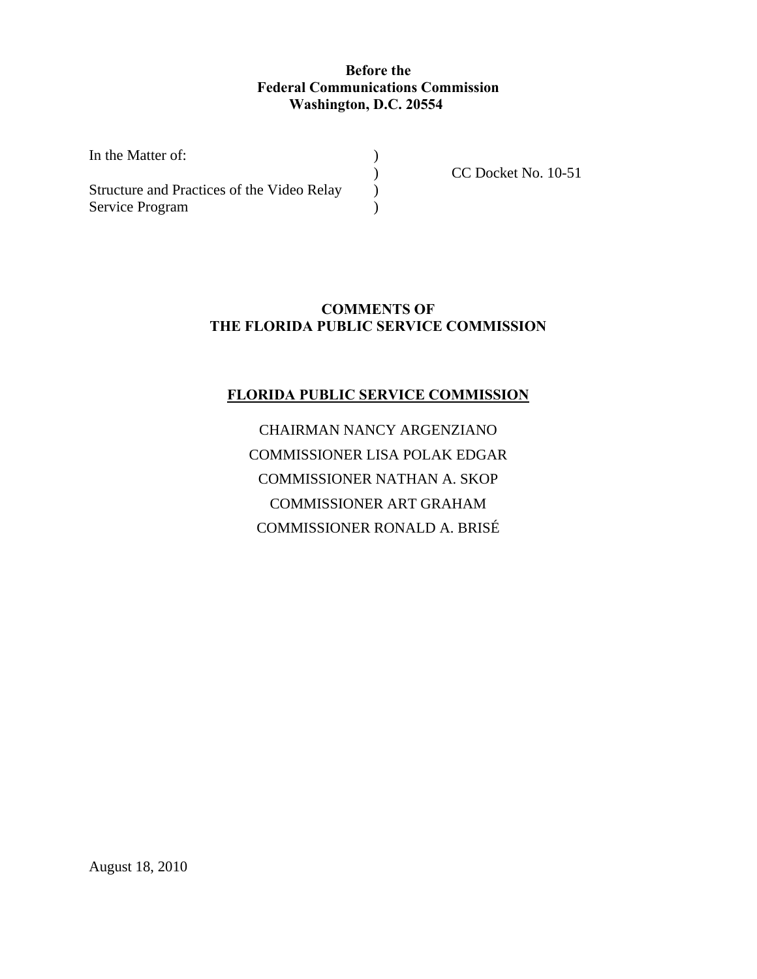# **Before the Federal Communications Commission Washington, D.C. 20554**

| In the Matter of:<br>Structure and Practices of the Video Relay |  |
|-----------------------------------------------------------------|--|
|                                                                 |  |
| Service Program                                                 |  |

CC Docket No. 10-51

# **COMMENTS OF THE FLORIDA PUBLIC SERVICE COMMISSION**

# **FLORIDA PUBLIC SERVICE COMMISSION**

CHAIRMAN NANCY ARGENZIANO COMMISSIONER LISA POLAK EDGAR COMMISSIONER NATHAN A. SKOP COMMISSIONER ART GRAHAM COMMISSIONER RONALD A. BRISÉ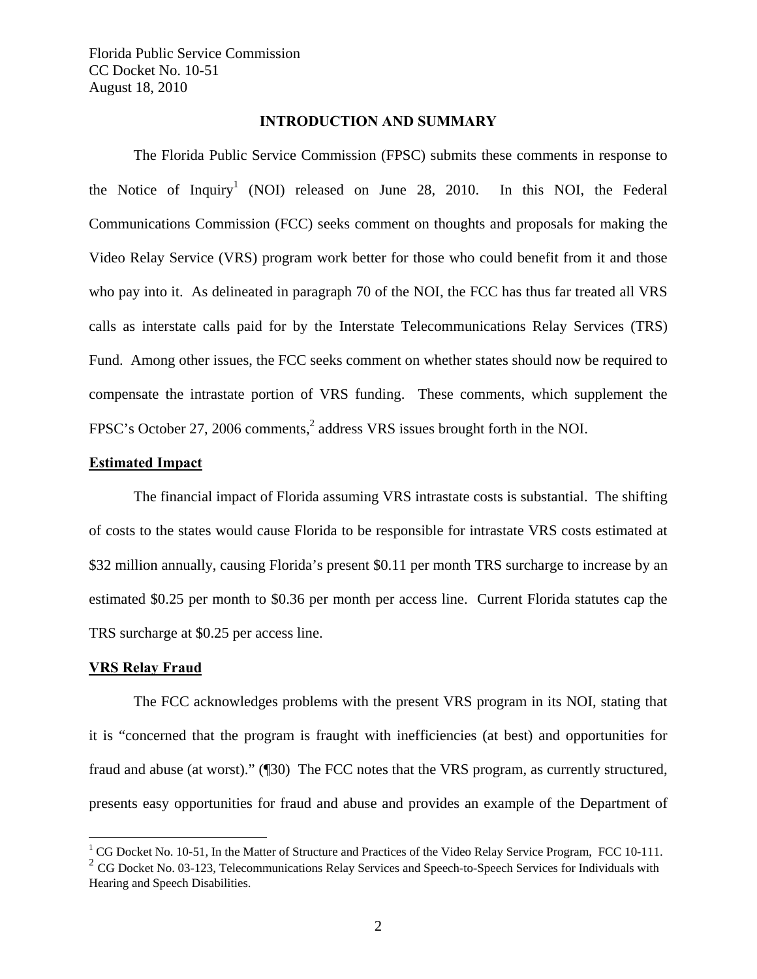#### **INTRODUCTION AND SUMMARY**

 The Florida Public Service Commission (FPSC) submits these comments in response to the Notice of Inquiry<sup>1</sup> (NOI) released on June 28, 2010. In this NOI, the Federal Communications Commission (FCC) seeks comment on thoughts and proposals for making the Video Relay Service (VRS) program work better for those who could benefit from it and those who pay into it. As delineated in paragraph 70 of the NOI, the FCC has thus far treated all VRS calls as interstate calls paid for by the Interstate Telecommunications Relay Services (TRS) Fund. Among other issues, the FCC seeks comment on whether states should now be required to compensate the intrastate portion of VRS funding. These comments, which supplement the FPSC's October 27, 2006 comments,<sup>2</sup> address VRS issues brought forth in the NOI.

#### **Estimated Impact**

The financial impact of Florida assuming VRS intrastate costs is substantial. The shifting of costs to the states would cause Florida to be responsible for intrastate VRS costs estimated at \$32 million annually, causing Florida's present \$0.11 per month TRS surcharge to increase by an estimated \$0.25 per month to \$0.36 per month per access line. Current Florida statutes cap the TRS surcharge at \$0.25 per access line.

#### **VRS Relay Fraud**

 $\overline{a}$ 

 The FCC acknowledges problems with the present VRS program in its NOI, stating that it is "concerned that the program is fraught with inefficiencies (at best) and opportunities for fraud and abuse (at worst)." (¶30) The FCC notes that the VRS program, as currently structured, presents easy opportunities for fraud and abuse and provides an example of the Department of

 $1 \text{ CG}$  Docket No. 10-51, In the Matter of Structure and Practices of the Video Relay Service Program, FCC 10-111.

 $2^{2}$  CG Docket No. 03-123, Telecommunications Relay Services and Speech-to-Speech Services for Individuals with Hearing and Speech Disabilities.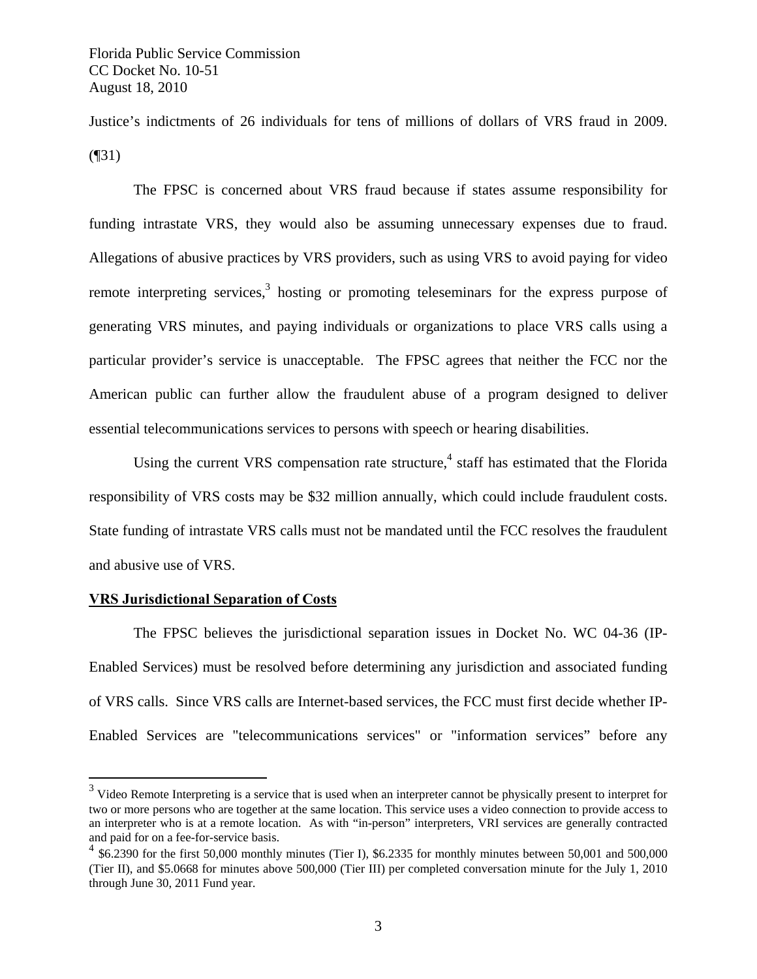Justice's indictments of 26 individuals for tens of millions of dollars of VRS fraud in 2009. (¶31)

The FPSC is concerned about VRS fraud because if states assume responsibility for funding intrastate VRS, they would also be assuming unnecessary expenses due to fraud. Allegations of abusive practices by VRS providers, such as using VRS to avoid paying for video remote interpreting services, $3$  hosting or promoting teleseminars for the express purpose of generating VRS minutes, and paying individuals or organizations to place VRS calls using a particular provider's service is unacceptable. The FPSC agrees that neither the FCC nor the American public can further allow the fraudulent abuse of a program designed to deliver essential telecommunications services to persons with speech or hearing disabilities.

Using the current VRS compensation rate structure,<sup>4</sup> staff has estimated that the Florida responsibility of VRS costs may be \$32 million annually, which could include fraudulent costs. State funding of intrastate VRS calls must not be mandated until the FCC resolves the fraudulent and abusive use of VRS.

#### **VRS Jurisdictional Separation of Costs**

 $\overline{a}$ 

The FPSC believes the jurisdictional separation issues in Docket No. WC 04-36 (IP-Enabled Services) must be resolved before determining any jurisdiction and associated funding of VRS calls. Since VRS calls are Internet-based services, the FCC must first decide whether IP-Enabled Services are "telecommunications services" or "information services" before any

 $3$  Video Remote Interpreting is a service that is used when an interpreter cannot be physically present to interpret for two or more persons who are together at the same location. This service uses a video connection to provide access to an interpreter who is at a remote location. As with "in-person" interpreters, VRI services are generally contracted and paid for on a fee-for-service basis.

<sup>&</sup>lt;sup>4</sup> \$6.2390 for the first 50,000 monthly minutes (Tier I), \$6.2335 for monthly minutes between 50,001 and 500,000 (Tier II), and \$5.0668 for minutes above 500,000 (Tier III) per completed conversation minute for the July 1, 2010 through June 30, 2011 Fund year.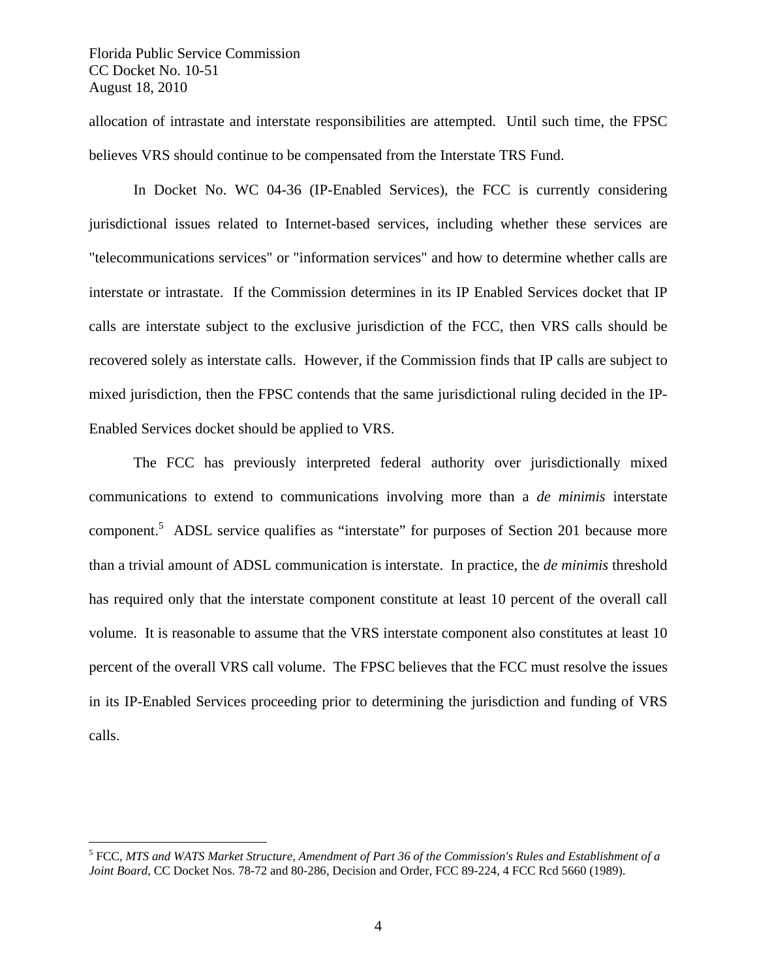$\overline{a}$ 

allocation of intrastate and interstate responsibilities are attempted. Until such time, the FPSC believes VRS should continue to be compensated from the Interstate TRS Fund.

In Docket No. WC 04-36 (IP-Enabled Services), the FCC is currently considering jurisdictional issues related to Internet-based services, including whether these services are "telecommunications services" or "information services" and how to determine whether calls are interstate or intrastate. If the Commission determines in its IP Enabled Services docket that IP calls are interstate subject to the exclusive jurisdiction of the FCC, then VRS calls should be recovered solely as interstate calls. However, if the Commission finds that IP calls are subject to mixed jurisdiction, then the FPSC contends that the same jurisdictional ruling decided in the IP-Enabled Services docket should be applied to VRS.

 The FCC has previously interpreted federal authority over jurisdictionally mixed communications to extend to communications involving more than a *de minimis* interstate component.<sup>5</sup> ADSL service qualifies as "interstate" for purposes of Section 201 because more than a trivial amount of ADSL communication is interstate. In practice, the *de minimis* threshold has required only that the interstate component constitute at least 10 percent of the overall call volume. It is reasonable to assume that the VRS interstate component also constitutes at least 10 percent of the overall VRS call volume. The FPSC believes that the FCC must resolve the issues in its IP-Enabled Services proceeding prior to determining the jurisdiction and funding of VRS calls.

<sup>5</sup> FCC, *MTS and WATS Market Structure, Amendment of Part 36 of the Commission's Rules and Establishment of a Joint Board*, CC Docket Nos. 78-72 and 80-286, Decision and Order, FCC 89-224, 4 FCC Rcd 5660 (1989).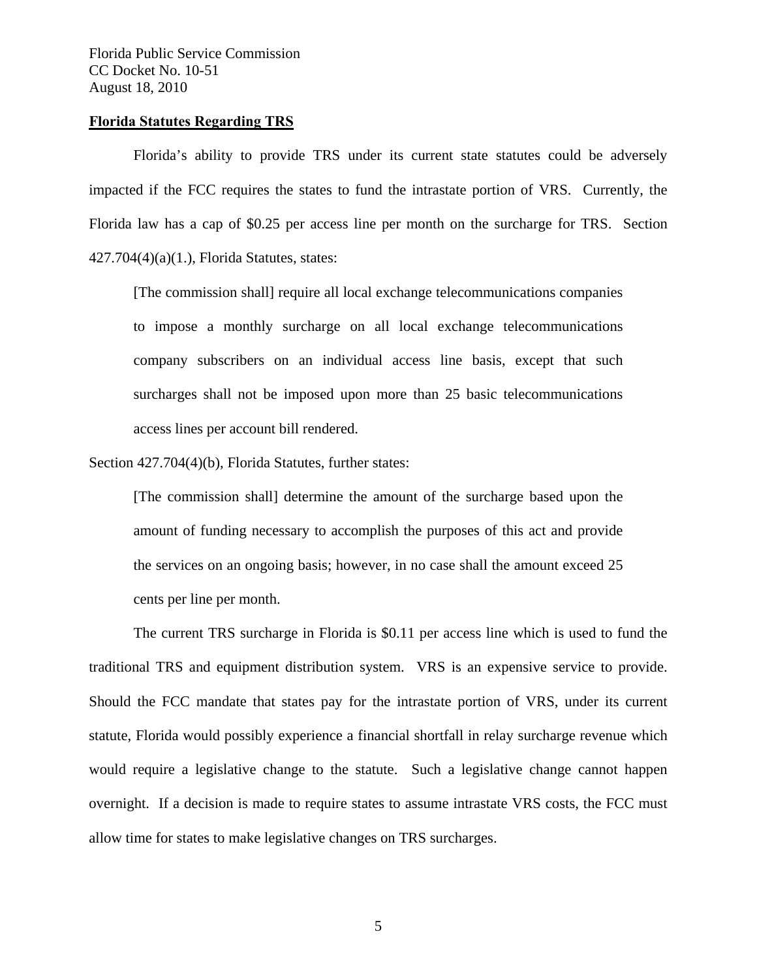#### **Florida Statutes Regarding TRS**

Florida's ability to provide TRS under its current state statutes could be adversely impacted if the FCC requires the states to fund the intrastate portion of VRS. Currently, the Florida law has a cap of \$0.25 per access line per month on the surcharge for TRS. Section 427.704(4)(a)(1.), Florida Statutes, states:

[The commission shall] require all local exchange telecommunications companies to impose a monthly surcharge on all local exchange telecommunications company subscribers on an individual access line basis, except that such surcharges shall not be imposed upon more than 25 basic telecommunications access lines per account bill rendered.

Section 427.704(4)(b), Florida Statutes, further states:

[The commission shall] determine the amount of the surcharge based upon the amount of funding necessary to accomplish the purposes of this act and provide the services on an ongoing basis; however, in no case shall the amount exceed 25 cents per line per month.

The current TRS surcharge in Florida is \$0.11 per access line which is used to fund the traditional TRS and equipment distribution system. VRS is an expensive service to provide. Should the FCC mandate that states pay for the intrastate portion of VRS, under its current statute, Florida would possibly experience a financial shortfall in relay surcharge revenue which would require a legislative change to the statute. Such a legislative change cannot happen overnight. If a decision is made to require states to assume intrastate VRS costs, the FCC must allow time for states to make legislative changes on TRS surcharges.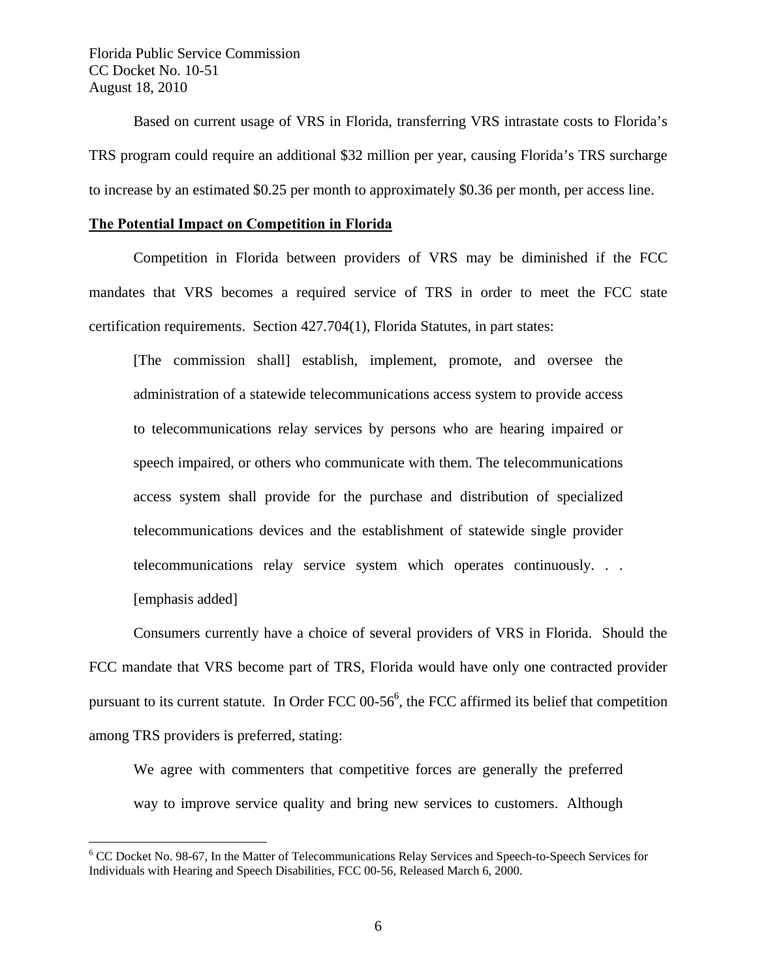$\overline{a}$ 

Based on current usage of VRS in Florida, transferring VRS intrastate costs to Florida's TRS program could require an additional \$32 million per year, causing Florida's TRS surcharge to increase by an estimated \$0.25 per month to approximately \$0.36 per month, per access line.

## **The Potential Impact on Competition in Florida**

Competition in Florida between providers of VRS may be diminished if the FCC mandates that VRS becomes a required service of TRS in order to meet the FCC state certification requirements. Section 427.704(1), Florida Statutes, in part states:

[The commission shall] establish, implement, promote, and oversee the administration of a statewide telecommunications access system to provide access to telecommunications relay services by persons who are hearing impaired or speech impaired, or others who communicate with them. The telecommunications access system shall provide for the purchase and distribution of specialized telecommunications devices and the establishment of statewide single provider telecommunications relay service system which operates continuously. . . [emphasis added]

Consumers currently have a choice of several providers of VRS in Florida. Should the FCC mandate that VRS become part of TRS, Florida would have only one contracted provider pursuant to its current statute. In Order FCC  $00-56^6$ , the FCC affirmed its belief that competition among TRS providers is preferred, stating:

We agree with commenters that competitive forces are generally the preferred way to improve service quality and bring new services to customers. Although

<sup>&</sup>lt;sup>6</sup> CC Docket No. 98-67, In the Matter of Telecommunications Relay Services and Speech-to-Speech Services for Individuals with Hearing and Speech Disabilities, FCC 00-56, Released March 6, 2000.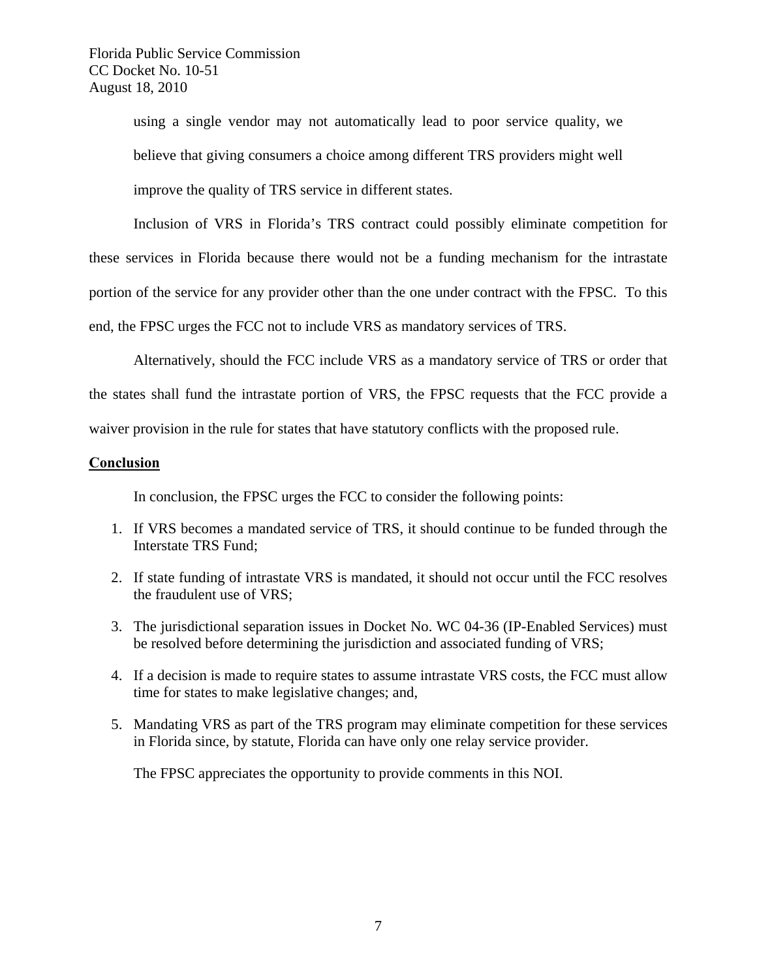using a single vendor may not automatically lead to poor service quality, we believe that giving consumers a choice among different TRS providers might well improve the quality of TRS service in different states.

Inclusion of VRS in Florida's TRS contract could possibly eliminate competition for these services in Florida because there would not be a funding mechanism for the intrastate portion of the service for any provider other than the one under contract with the FPSC. To this end, the FPSC urges the FCC not to include VRS as mandatory services of TRS.

Alternatively, should the FCC include VRS as a mandatory service of TRS or order that the states shall fund the intrastate portion of VRS, the FPSC requests that the FCC provide a waiver provision in the rule for states that have statutory conflicts with the proposed rule.

## **Conclusion**

In conclusion, the FPSC urges the FCC to consider the following points:

- 1. If VRS becomes a mandated service of TRS, it should continue to be funded through the Interstate TRS Fund;
- 2. If state funding of intrastate VRS is mandated, it should not occur until the FCC resolves the fraudulent use of VRS;
- 3. The jurisdictional separation issues in Docket No. WC 04-36 (IP-Enabled Services) must be resolved before determining the jurisdiction and associated funding of VRS;
- 4. If a decision is made to require states to assume intrastate VRS costs, the FCC must allow time for states to make legislative changes; and,
- 5. Mandating VRS as part of the TRS program may eliminate competition for these services in Florida since, by statute, Florida can have only one relay service provider.

The FPSC appreciates the opportunity to provide comments in this NOI.